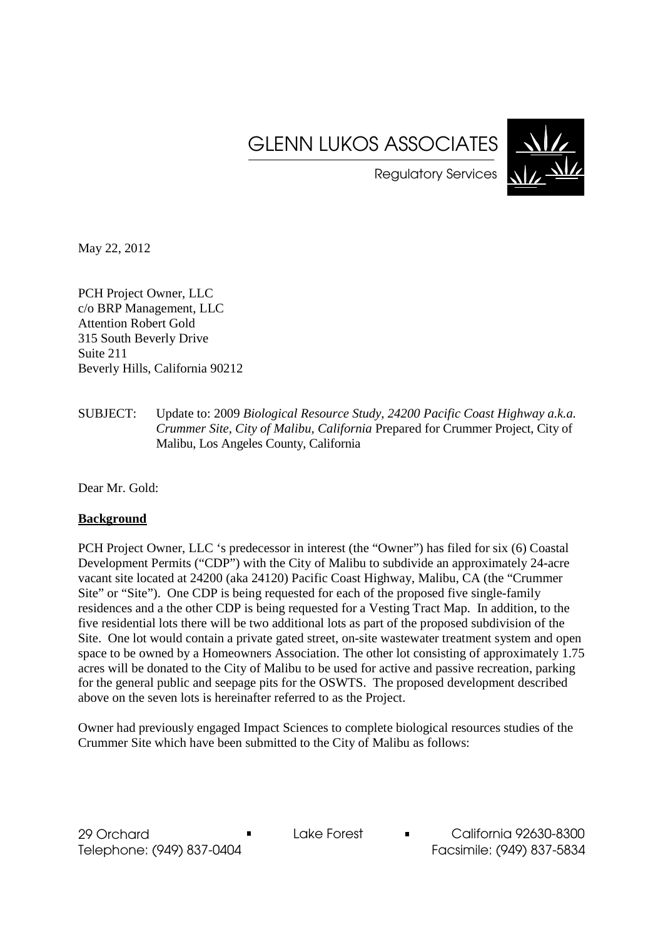# GLENN LUKOS ASSOCIATES



Regulatory Services

May 22, 2012

PCH Project Owner, LLC c/o BRP Management, LLC Attention Robert Gold 315 South Beverly Drive Suite 211 Beverly Hills, California 90212

SUBJECT: Update to: 2009 *Biological Resource Study, 24200 Pacific Coast Highway a.k.a. Crummer Site, City of Malibu, California* Prepared for Crummer Project, City of Malibu, Los Angeles County, California

Dear Mr. Gold:

## **Background**

PCH Project Owner, LLC 's predecessor in interest (the "Owner") has filed for six (6) Coastal Development Permits ("CDP") with the City of Malibu to subdivide an approximately 24-acre vacant site located at 24200 (aka 24120) Pacific Coast Highway, Malibu, CA (the "Crummer Site" or "Site"). One CDP is being requested for each of the proposed five single-family residences and a the other CDP is being requested for a Vesting Tract Map. In addition, to the five residential lots there will be two additional lots as part of the proposed subdivision of the Site. One lot would contain a private gated street, on-site wastewater treatment system and open space to be owned by a Homeowners Association. The other lot consisting of approximately 1.75 acres will be donated to the City of Malibu to be used for active and passive recreation, parking for the general public and seepage pits for the OSWTS. The proposed development described above on the seven lots is hereinafter referred to as the Project.

Owner had previously engaged Impact Sciences to complete biological resources studies of the Crummer Site which have been submitted to the City of Malibu as follows: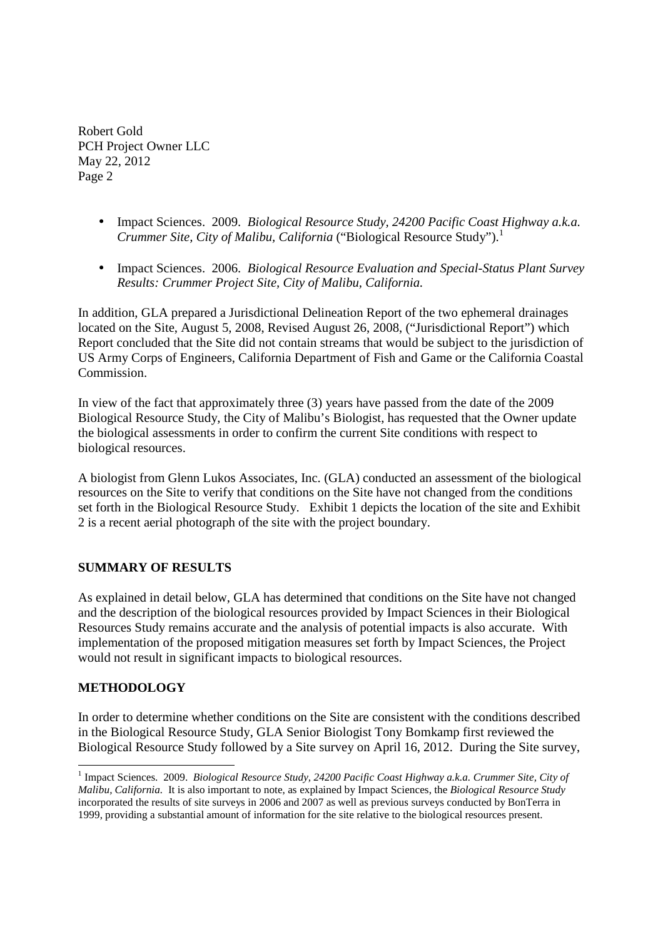- Impact Sciences. 2009. *Biological Resource Study, 24200 Pacific Coast Highway a.k.a. Crummer Site, City of Malibu, California* ("Biological Resource Study").<sup>1</sup>
- Impact Sciences. 2006. *Biological Resource Evaluation and Special-Status Plant Survey Results: Crummer Project Site, City of Malibu, California.*

In addition, GLA prepared a Jurisdictional Delineation Report of the two ephemeral drainages located on the Site, August 5, 2008, Revised August 26, 2008, ("Jurisdictional Report") which Report concluded that the Site did not contain streams that would be subject to the jurisdiction of US Army Corps of Engineers, California Department of Fish and Game or the California Coastal Commission.

In view of the fact that approximately three (3) years have passed from the date of the 2009 Biological Resource Study, the City of Malibu's Biologist, has requested that the Owner update the biological assessments in order to confirm the current Site conditions with respect to biological resources.

A biologist from Glenn Lukos Associates, Inc. (GLA) conducted an assessment of the biological resources on the Site to verify that conditions on the Site have not changed from the conditions set forth in the Biological Resource Study. Exhibit 1 depicts the location of the site and Exhibit 2 is a recent aerial photograph of the site with the project boundary.

## **SUMMARY OF RESULTS**

As explained in detail below, GLA has determined that conditions on the Site have not changed and the description of the biological resources provided by Impact Sciences in their Biological Resources Study remains accurate and the analysis of potential impacts is also accurate. With implementation of the proposed mitigation measures set forth by Impact Sciences, the Project would not result in significant impacts to biological resources.

## **METHODOLOGY**

-

In order to determine whether conditions on the Site are consistent with the conditions described in the Biological Resource Study, GLA Senior Biologist Tony Bomkamp first reviewed the Biological Resource Study followed by a Site survey on April 16, 2012. During the Site survey,

<sup>&</sup>lt;sup>1</sup> Impact Sciences. 2009. *Biological Resource Study, 24200 Pacific Coast Highway a.k.a. Crummer Site, City of Malibu, California.* It is also important to note, as explained by Impact Sciences, the *Biological Resource Study* incorporated the results of site surveys in 2006 and 2007 as well as previous surveys conducted by BonTerra in 1999, providing a substantial amount of information for the site relative to the biological resources present.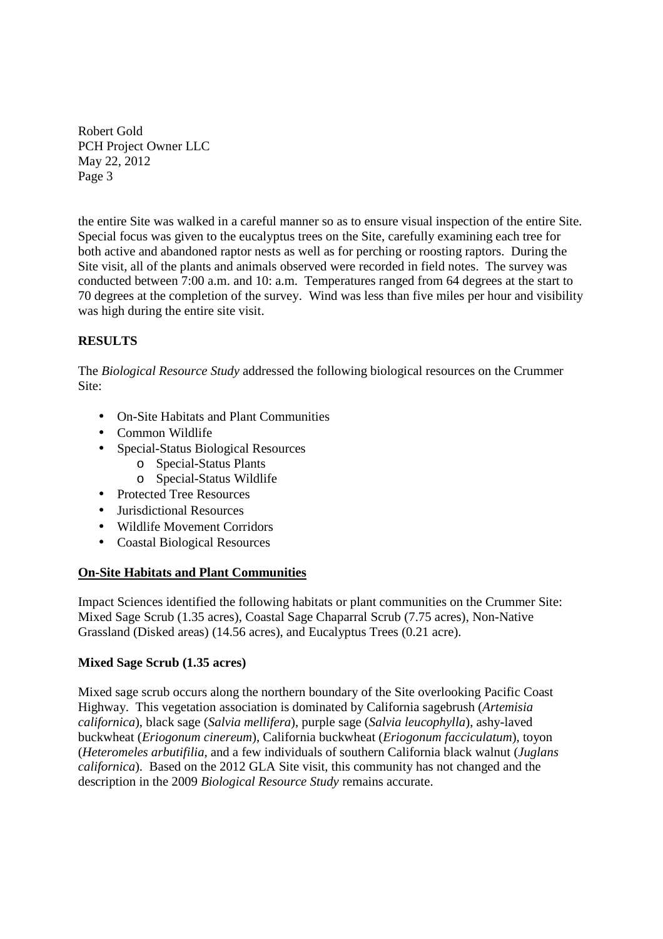the entire Site was walked in a careful manner so as to ensure visual inspection of the entire Site. Special focus was given to the eucalyptus trees on the Site, carefully examining each tree for both active and abandoned raptor nests as well as for perching or roosting raptors. During the Site visit, all of the plants and animals observed were recorded in field notes. The survey was conducted between 7:00 a.m. and 10: a.m. Temperatures ranged from 64 degrees at the start to 70 degrees at the completion of the survey. Wind was less than five miles per hour and visibility was high during the entire site visit.

## **RESULTS**

The *Biological Resource Study* addressed the following biological resources on the Crummer Site:

- On-Site Habitats and Plant Communities
- Common Wildlife
- Special-Status Biological Resources
	- o Special-Status Plants
		- o Special-Status Wildlife
- Protected Tree Resources
- Jurisdictional Resources
- Wildlife Movement Corridors
- Coastal Biological Resources

## **On-Site Habitats and Plant Communities**

Impact Sciences identified the following habitats or plant communities on the Crummer Site: Mixed Sage Scrub (1.35 acres), Coastal Sage Chaparral Scrub (7.75 acres), Non-Native Grassland (Disked areas) (14.56 acres), and Eucalyptus Trees (0.21 acre).

## **Mixed Sage Scrub (1.35 acres)**

Mixed sage scrub occurs along the northern boundary of the Site overlooking Pacific Coast Highway. This vegetation association is dominated by California sagebrush (*Artemisia californica*), black sage (*Salvia mellifera*), purple sage (*Salvia leucophylla*), ashy-laved buckwheat (*Eriogonum cinereum*), California buckwheat (*Eriogonum facciculatum*), toyon (*Heteromeles arbutifilia*, and a few individuals of southern California black walnut (*Juglans californica*). Based on the 2012 GLA Site visit, this community has not changed and the description in the 2009 *Biological Resource Study* remains accurate.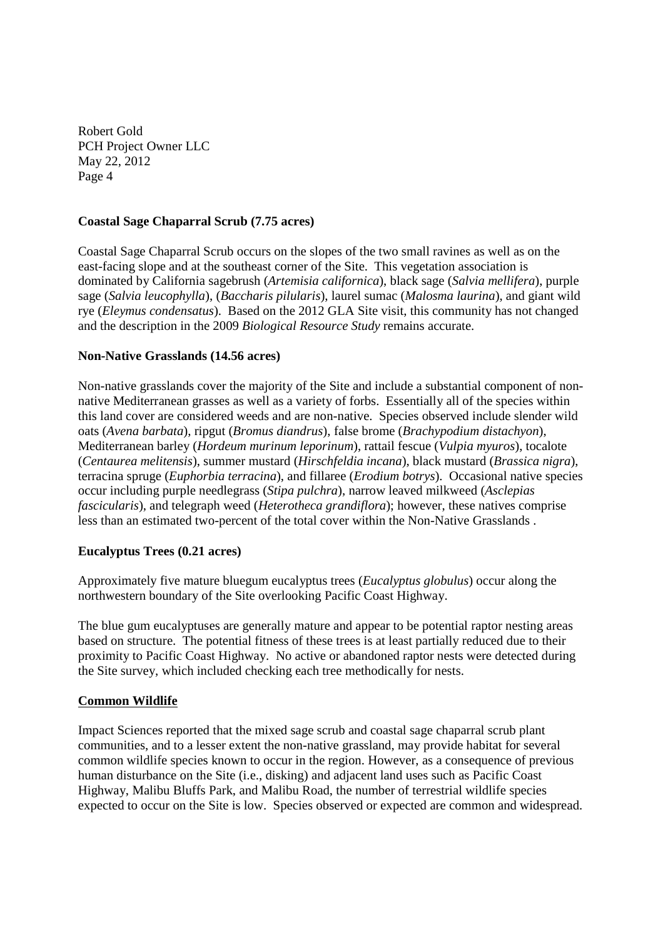## **Coastal Sage Chaparral Scrub (7.75 acres)**

Coastal Sage Chaparral Scrub occurs on the slopes of the two small ravines as well as on the east-facing slope and at the southeast corner of the Site. This vegetation association is dominated by California sagebrush (*Artemisia californica*), black sage (*Salvia mellifera*), purple sage (*Salvia leucophylla*), (*Baccharis pilularis*), laurel sumac (*Malosma laurina*), and giant wild rye (*Eleymus condensatus*). Based on the 2012 GLA Site visit, this community has not changed and the description in the 2009 *Biological Resource Study* remains accurate.

## **Non-Native Grasslands (14.56 acres)**

Non-native grasslands cover the majority of the Site and include a substantial component of nonnative Mediterranean grasses as well as a variety of forbs. Essentially all of the species within this land cover are considered weeds and are non-native. Species observed include slender wild oats (*Avena barbata*), ripgut (*Bromus diandrus*), false brome (*Brachypodium distachyon*), Mediterranean barley (*Hordeum murinum leporinum*), rattail fescue (*Vulpia myuros*), tocalote (*Centaurea melitensis*), summer mustard (*Hirschfeldia incana*), black mustard (*Brassica nigra*), terracina spruge (*Euphorbia terracina*), and fillaree (*Erodium botrys*). Occasional native species occur including purple needlegrass (*Stipa pulchra*), narrow leaved milkweed (*Asclepias fascicularis*), and telegraph weed (*Heterotheca grandiflora*); however, these natives comprise less than an estimated two-percent of the total cover within the Non-Native Grasslands .

## **Eucalyptus Trees (0.21 acres)**

Approximately five mature bluegum eucalyptus trees (*Eucalyptus globulus*) occur along the northwestern boundary of the Site overlooking Pacific Coast Highway.

The blue gum eucalyptuses are generally mature and appear to be potential raptor nesting areas based on structure. The potential fitness of these trees is at least partially reduced due to their proximity to Pacific Coast Highway. No active or abandoned raptor nests were detected during the Site survey, which included checking each tree methodically for nests.

## **Common Wildlife**

Impact Sciences reported that the mixed sage scrub and coastal sage chaparral scrub plant communities, and to a lesser extent the non-native grassland, may provide habitat for several common wildlife species known to occur in the region. However, as a consequence of previous human disturbance on the Site (i.e., disking) and adjacent land uses such as Pacific Coast Highway, Malibu Bluffs Park, and Malibu Road, the number of terrestrial wildlife species expected to occur on the Site is low. Species observed or expected are common and widespread.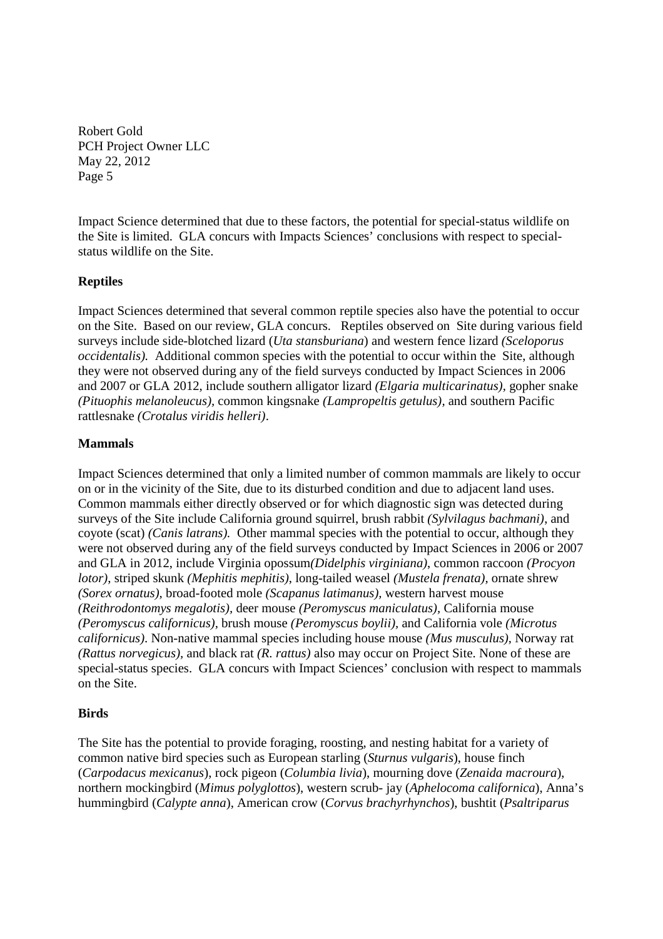Impact Science determined that due to these factors, the potential for special-status wildlife on the Site is limited. GLA concurs with Impacts Sciences' conclusions with respect to specialstatus wildlife on the Site.

## **Reptiles**

Impact Sciences determined that several common reptile species also have the potential to occur on the Site. Based on our review, GLA concurs. Reptiles observed on Site during various field surveys include side-blotched lizard (*Uta stansburiana*) and western fence lizard *(Sceloporus occidentalis).* Additional common species with the potential to occur within the Site, although they were not observed during any of the field surveys conducted by Impact Sciences in 2006 and 2007 or GLA 2012, include southern alligator lizard *(Elgaria multicarinatus),* gopher snake *(Pituophis melanoleucus),* common kingsnake *(Lampropeltis getulus),* and southern Pacific rattlesnake *(Crotalus viridis helleri)*.

## **Mammals**

Impact Sciences determined that only a limited number of common mammals are likely to occur on or in the vicinity of the Site, due to its disturbed condition and due to adjacent land uses. Common mammals either directly observed or for which diagnostic sign was detected during surveys of the Site include California ground squirrel, brush rabbit *(Sylvilagus bachmani)*, and coyote (scat) *(Canis latrans).* Other mammal species with the potential to occur, although they were not observed during any of the field surveys conducted by Impact Sciences in 2006 or 2007 and GLA in 2012, include Virginia opossum*(Didelphis virginiana)*, common raccoon *(Procyon lotor)*, striped skunk *(Mephitis mephitis)*, long-tailed weasel *(Mustela frenata),* ornate shrew *(Sorex ornatus),* broad-footed mole *(Scapanus latimanus),* western harvest mouse *(Reithrodontomys megalotis),* deer mouse *(Peromyscus maniculatus),* California mouse *(Peromyscus californicus),* brush mouse *(Peromyscus boylii),* and California vole *(Microtus californicus)*. Non-native mammal species including house mouse *(Mus musculus),* Norway rat *(Rattus norvegicus),* and black rat *(R. rattus)* also may occur on Project Site. None of these are special-status species. GLA concurs with Impact Sciences' conclusion with respect to mammals on the Site.

## **Birds**

The Site has the potential to provide foraging, roosting, and nesting habitat for a variety of common native bird species such as European starling (*Sturnus vulgaris*), house finch (*Carpodacus mexicanus*), rock pigeon (*Columbia livia*), mourning dove (*Zenaida macroura*), northern mockingbird (*Mimus polyglottos*), western scrub- jay (*Aphelocoma californica*), Anna's hummingbird (*Calypte anna*), American crow (*Corvus brachyrhynchos*), bushtit (*Psaltriparus*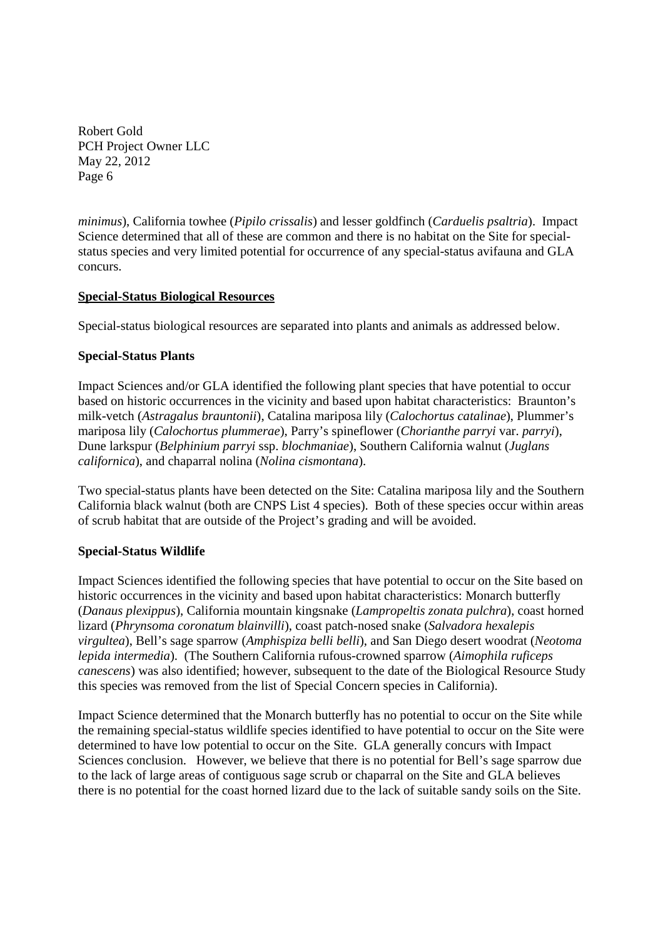*minimus*), California towhee (*Pipilo crissalis*) and lesser goldfinch (*Carduelis psaltria*). Impact Science determined that all of these are common and there is no habitat on the Site for specialstatus species and very limited potential for occurrence of any special-status avifauna and GLA concurs.

## **Special-Status Biological Resources**

Special-status biological resources are separated into plants and animals as addressed below.

## **Special-Status Plants**

Impact Sciences and/or GLA identified the following plant species that have potential to occur based on historic occurrences in the vicinity and based upon habitat characteristics: Braunton's milk-vetch (*Astragalus brauntonii*), Catalina mariposa lily (*Calochortus catalinae*), Plummer's mariposa lily (*Calochortus plummerae*), Parry's spineflower (*Chorianthe parryi* var. *parryi*), Dune larkspur (*Belphinium parryi* ssp. *blochmaniae*), Southern California walnut (*Juglans californica*), and chaparral nolina (*Nolina cismontana*).

Two special-status plants have been detected on the Site: Catalina mariposa lily and the Southern California black walnut (both are CNPS List 4 species). Both of these species occur within areas of scrub habitat that are outside of the Project's grading and will be avoided.

## **Special-Status Wildlife**

Impact Sciences identified the following species that have potential to occur on the Site based on historic occurrences in the vicinity and based upon habitat characteristics: Monarch butterfly (*Danaus plexippus*), California mountain kingsnake (*Lampropeltis zonata pulchra*), coast horned lizard (*Phrynsoma coronatum blainvilli*), coast patch-nosed snake (*Salvadora hexalepis virgultea*), Bell's sage sparrow (*Amphispiza belli belli*), and San Diego desert woodrat (*Neotoma lepida intermedia*). (The Southern California rufous-crowned sparrow (*Aimophila ruficeps canescens*) was also identified; however, subsequent to the date of the Biological Resource Study this species was removed from the list of Special Concern species in California).

Impact Science determined that the Monarch butterfly has no potential to occur on the Site while the remaining special-status wildlife species identified to have potential to occur on the Site were determined to have low potential to occur on the Site. GLA generally concurs with Impact Sciences conclusion. However, we believe that there is no potential for Bell's sage sparrow due to the lack of large areas of contiguous sage scrub or chaparral on the Site and GLA believes there is no potential for the coast horned lizard due to the lack of suitable sandy soils on the Site.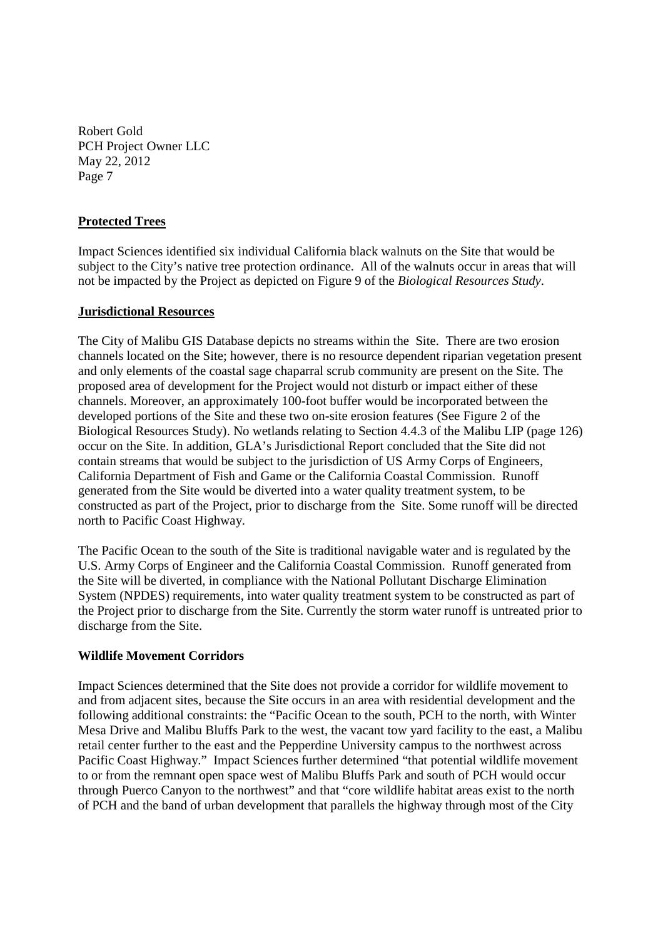## **Protected Trees**

Impact Sciences identified six individual California black walnuts on the Site that would be subject to the City's native tree protection ordinance. All of the walnuts occur in areas that will not be impacted by the Project as depicted on Figure 9 of the *Biological Resources Study*.

#### **Jurisdictional Resources**

The City of Malibu GIS Database depicts no streams within the Site. There are two erosion channels located on the Site; however, there is no resource dependent riparian vegetation present and only elements of the coastal sage chaparral scrub community are present on the Site. The proposed area of development for the Project would not disturb or impact either of these channels. Moreover, an approximately 100-foot buffer would be incorporated between the developed portions of the Site and these two on-site erosion features (See Figure 2 of the Biological Resources Study). No wetlands relating to Section 4.4.3 of the Malibu LIP (page 126) occur on the Site. In addition, GLA's Jurisdictional Report concluded that the Site did not contain streams that would be subject to the jurisdiction of US Army Corps of Engineers, California Department of Fish and Game or the California Coastal Commission. Runoff generated from the Site would be diverted into a water quality treatment system, to be constructed as part of the Project, prior to discharge from the Site. Some runoff will be directed north to Pacific Coast Highway.

The Pacific Ocean to the south of the Site is traditional navigable water and is regulated by the U.S. Army Corps of Engineer and the California Coastal Commission. Runoff generated from the Site will be diverted, in compliance with the National Pollutant Discharge Elimination System (NPDES) requirements, into water quality treatment system to be constructed as part of the Project prior to discharge from the Site. Currently the storm water runoff is untreated prior to discharge from the Site.

## **Wildlife Movement Corridors**

Impact Sciences determined that the Site does not provide a corridor for wildlife movement to and from adjacent sites, because the Site occurs in an area with residential development and the following additional constraints: the "Pacific Ocean to the south, PCH to the north, with Winter Mesa Drive and Malibu Bluffs Park to the west, the vacant tow yard facility to the east, a Malibu retail center further to the east and the Pepperdine University campus to the northwest across Pacific Coast Highway." Impact Sciences further determined "that potential wildlife movement to or from the remnant open space west of Malibu Bluffs Park and south of PCH would occur through Puerco Canyon to the northwest" and that "core wildlife habitat areas exist to the north of PCH and the band of urban development that parallels the highway through most of the City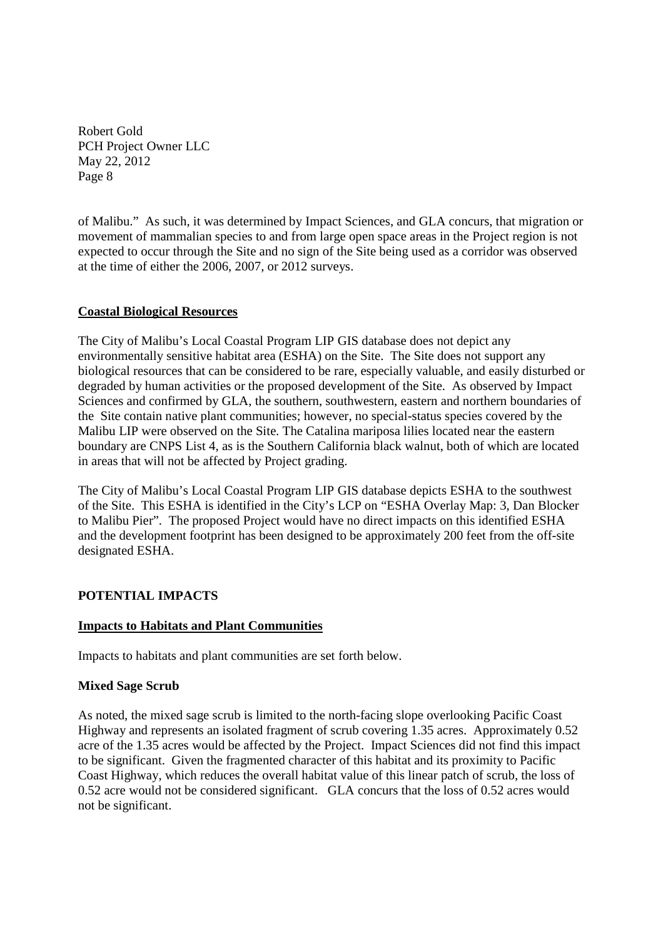of Malibu." As such, it was determined by Impact Sciences, and GLA concurs, that migration or movement of mammalian species to and from large open space areas in the Project region is not expected to occur through the Site and no sign of the Site being used as a corridor was observed at the time of either the 2006, 2007, or 2012 surveys.

## **Coastal Biological Resources**

The City of Malibu's Local Coastal Program LIP GIS database does not depict any environmentally sensitive habitat area (ESHA) on the Site. The Site does not support any biological resources that can be considered to be rare, especially valuable, and easily disturbed or degraded by human activities or the proposed development of the Site. As observed by Impact Sciences and confirmed by GLA, the southern, southwestern, eastern and northern boundaries of the Site contain native plant communities; however, no special-status species covered by the Malibu LIP were observed on the Site. The Catalina mariposa lilies located near the eastern boundary are CNPS List 4, as is the Southern California black walnut, both of which are located in areas that will not be affected by Project grading.

The City of Malibu's Local Coastal Program LIP GIS database depicts ESHA to the southwest of the Site. This ESHA is identified in the City's LCP on "ESHA Overlay Map: 3, Dan Blocker to Malibu Pier". The proposed Project would have no direct impacts on this identified ESHA and the development footprint has been designed to be approximately 200 feet from the off-site designated ESHA.

## **POTENTIAL IMPACTS**

## **Impacts to Habitats and Plant Communities**

Impacts to habitats and plant communities are set forth below.

## **Mixed Sage Scrub**

As noted, the mixed sage scrub is limited to the north-facing slope overlooking Pacific Coast Highway and represents an isolated fragment of scrub covering 1.35 acres. Approximately 0.52 acre of the 1.35 acres would be affected by the Project. Impact Sciences did not find this impact to be significant. Given the fragmented character of this habitat and its proximity to Pacific Coast Highway, which reduces the overall habitat value of this linear patch of scrub, the loss of 0.52 acre would not be considered significant. GLA concurs that the loss of 0.52 acres would not be significant.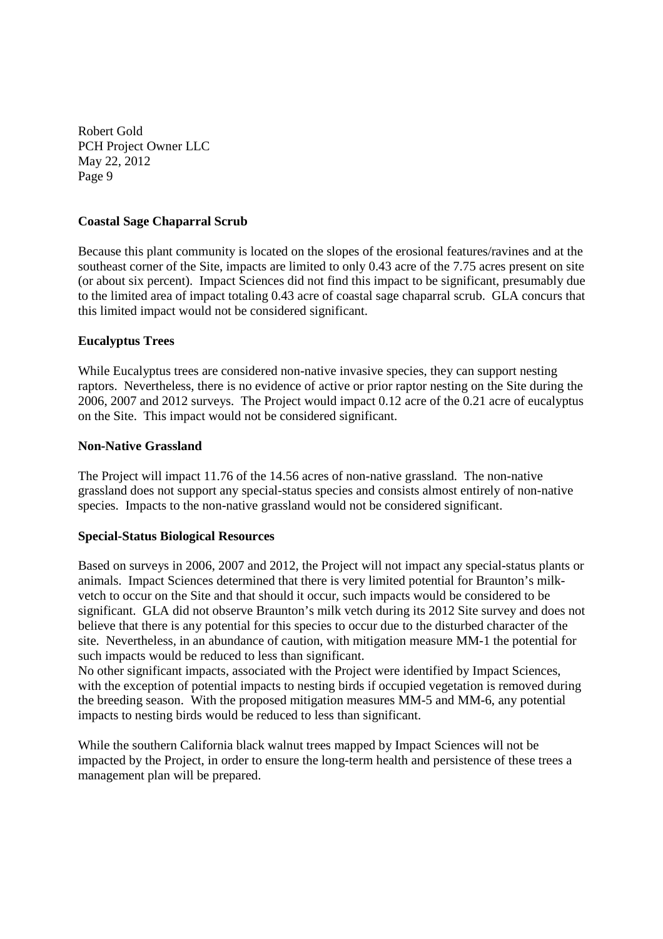## **Coastal Sage Chaparral Scrub**

Because this plant community is located on the slopes of the erosional features/ravines and at the southeast corner of the Site, impacts are limited to only 0.43 acre of the 7.75 acres present on site (or about six percent). Impact Sciences did not find this impact to be significant, presumably due to the limited area of impact totaling 0.43 acre of coastal sage chaparral scrub. GLA concurs that this limited impact would not be considered significant.

## **Eucalyptus Trees**

While Eucalyptus trees are considered non-native invasive species, they can support nesting raptors. Nevertheless, there is no evidence of active or prior raptor nesting on the Site during the 2006, 2007 and 2012 surveys. The Project would impact 0.12 acre of the 0.21 acre of eucalyptus on the Site. This impact would not be considered significant.

## **Non-Native Grassland**

The Project will impact 11.76 of the 14.56 acres of non-native grassland. The non-native grassland does not support any special-status species and consists almost entirely of non-native species. Impacts to the non-native grassland would not be considered significant.

## **Special-Status Biological Resources**

Based on surveys in 2006, 2007 and 2012, the Project will not impact any special-status plants or animals. Impact Sciences determined that there is very limited potential for Braunton's milkvetch to occur on the Site and that should it occur, such impacts would be considered to be significant. GLA did not observe Braunton's milk vetch during its 2012 Site survey and does not believe that there is any potential for this species to occur due to the disturbed character of the site. Nevertheless, in an abundance of caution, with mitigation measure MM-1 the potential for such impacts would be reduced to less than significant.

No other significant impacts, associated with the Project were identified by Impact Sciences, with the exception of potential impacts to nesting birds if occupied vegetation is removed during the breeding season. With the proposed mitigation measures MM-5 and MM-6, any potential impacts to nesting birds would be reduced to less than significant.

While the southern California black walnut trees mapped by Impact Sciences will not be impacted by the Project, in order to ensure the long-term health and persistence of these trees a management plan will be prepared.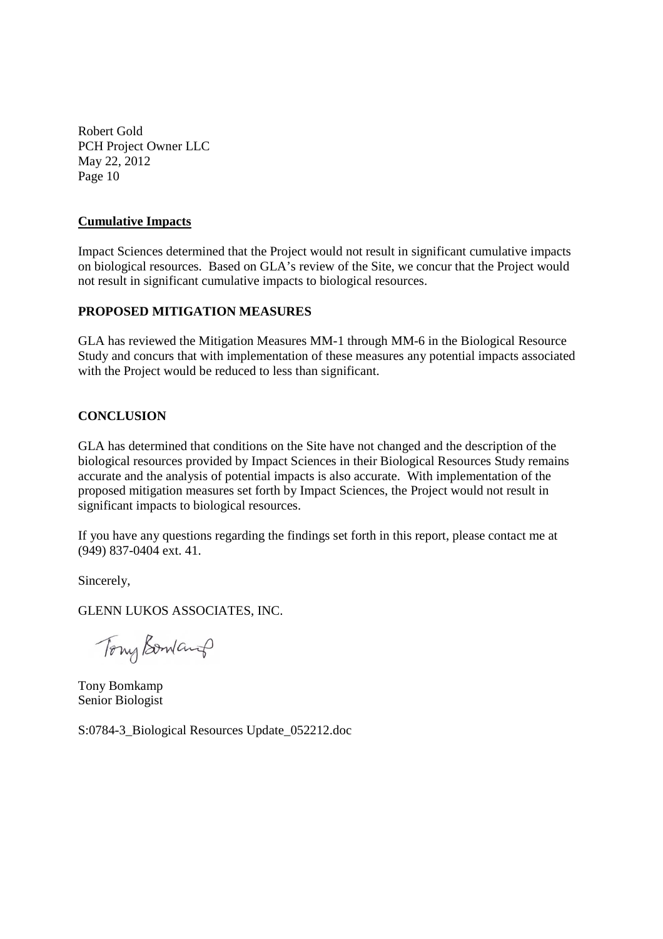## **Cumulative Impacts**

Impact Sciences determined that the Project would not result in significant cumulative impacts on biological resources. Based on GLA's review of the Site, we concur that the Project would not result in significant cumulative impacts to biological resources.

## **PROPOSED MITIGATION MEASURES**

GLA has reviewed the Mitigation Measures MM-1 through MM-6 in the Biological Resource Study and concurs that with implementation of these measures any potential impacts associated with the Project would be reduced to less than significant.

## **CONCLUSION**

GLA has determined that conditions on the Site have not changed and the description of the biological resources provided by Impact Sciences in their Biological Resources Study remains accurate and the analysis of potential impacts is also accurate. With implementation of the proposed mitigation measures set forth by Impact Sciences, the Project would not result in significant impacts to biological resources.

If you have any questions regarding the findings set forth in this report, please contact me at (949) 837-0404 ext. 41.

Sincerely,

GLENN LUKOS ASSOCIATES, INC.

Tony Bowland

Tony Bomkamp Senior Biologist

S:0784-3\_Biological Resources Update\_052212.doc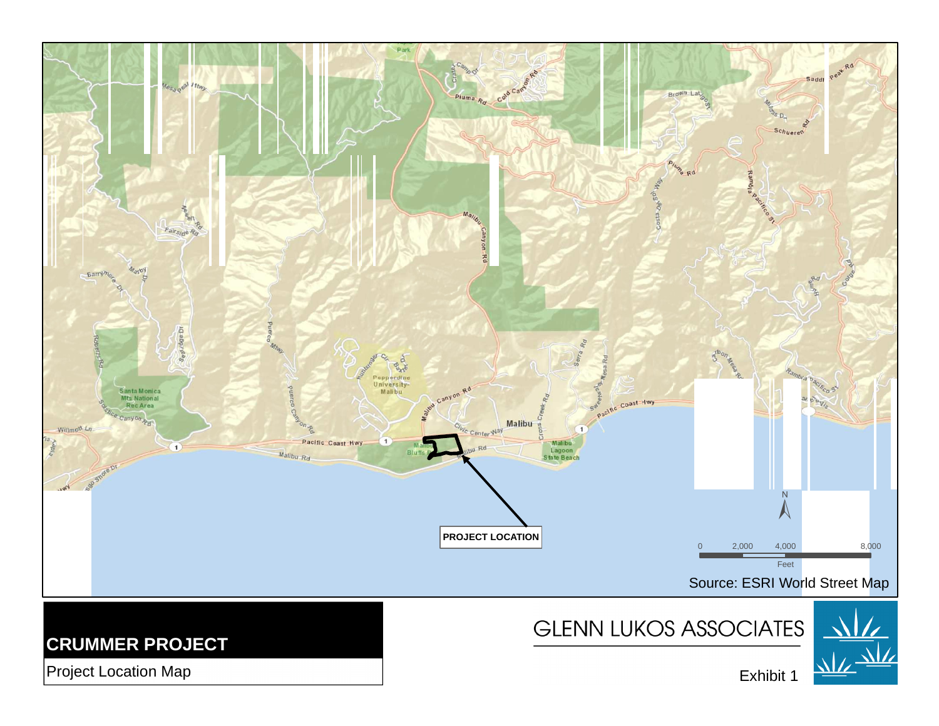

Project Location Map

Exhibit 1